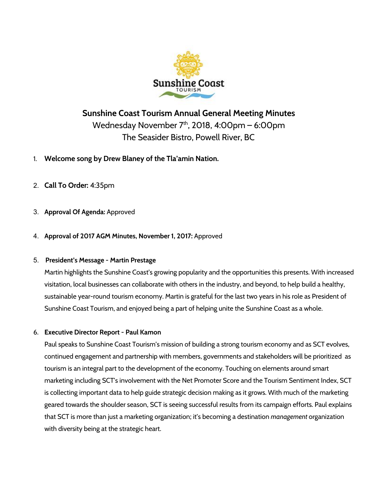

# **Sunshine Coast Tourism Annual General Meeting Minutes** Wednesday November 7 th , 2018, 4:00pm – 6:00pm The Seasider Bistro, Powell River, BC

- 1. **Welcome song by Drew Blaney of the Tla'amin Nation.**
- 2. **Call To Order:** 4:35pm
- 3. **Approval Of Agenda:** Approved
- 4. **Approval of 2017 AGM Minutes, November 1, 2017:** Approved

### 5. **President's Message - Martin Prestage**

Martin highlights the Sunshine Coast's growing popularity and the opportunities this presents. With increased visitation, local businesses can collaborate with others in the industry, and beyond, to help build a healthy, sustainable year-round tourism economy. Martin is grateful for the last two years in his role as President of Sunshine Coast Tourism, and enjoyed being a part of helping unite the Sunshine Coast as a whole.

# 6. **Executive Director Report - Paul Kamon**

Paul speaks to Sunshine Coast Tourism's mission of building a strong tourism economy and as SCT evolves, continued engagement and partnership with members, governments and stakeholders will be prioritized as tourism is an integral part to the development of the economy. Touching on elements around smart marketing including SCT's involvement with the Net Promoter Score and the Tourism Sentiment Index, SCT is collecting important data to help guide strategic decision making as it grows. With much of the marketing geared towards the shoulder season, SCT is seeing successful results from its campaign efforts. Paul explains that SCT is more than just a marketing organization; it's becoming a destination *management* organization with diversity being at the strategic heart.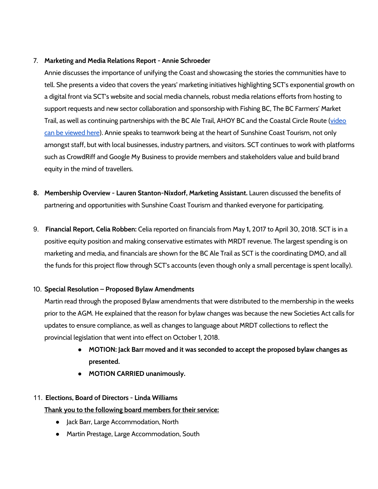#### 7. **Marketing and Media Relations Report - Annie Schroeder**

Annie discusses the importance of unifying the Coast and showcasing the stories the communities have to tell. She presents a video that covers the years' marketing initiatives highlighting SCT's exponential growth on a digital front via SCT's website and social media channels, robust media relations efforts from hosting to support requests and new sector collaboration and sponsorship with Fishing BC, The BC Farmers' Market Trail, as well as continuing partnerships with the BC Ale Trail, AHOY BC and the Coastal Circle Route ([video](https://youtu.be/cFUFS69n_0E) can be [viewed](https://youtu.be/cFUFS69n_0E) here). Annie speaks to teamwork being at the heart of Sunshine Coast Tourism, not only amongst staff, but with local businesses, industry partners, and visitors. SCT continues to work with platforms such as CrowdRiff and Google My Business to provide members and stakeholders value and build brand equity in the mind of travellers.

- **8. Membership Overview - Lauren Stanton-Nixdorf, Marketing Assistant.** Lauren discussed the benefits of partnering and opportunities with Sunshine Coast Tourism and thanked everyone for participating.
- 9. **Financial Report, Celia Robben:** Celia reported on financials from May **1,** 2017 to April 30, 2018. SCT is in a positive equity position and making conservative estimates with MRDT revenue. The largest spending is on marketing and media, and financials are shown for the BC Ale Trail as SCT is the coordinating DMO, and all the funds for this project flow through SCT's accounts (even though only a small percentage is spent locally).

### 10. **Special Resolution – Proposed Bylaw Amendments**

Martin read through the proposed Bylaw amendments that were distributed to the membership in the weeks prior to the AGM. He explained that the reason for bylaw changes was because the new Societies Act calls for updates to ensure compliance, as well as changes to language about MRDT collections to reflect the provincial legislation that went into effect on October 1, 2018.

- **● MOTION: Jack Barr moved and it was seconded to accept the proposed bylaw changes as presented.**
- **● MOTION CARRIED unanimously.**

# 11. **Elections, Board of Directors - Linda Williams**

**Thank you to the following board members for their service:**

- Jack Barr, Large Accommodation, North
- Martin Prestage, Large Accommodation, South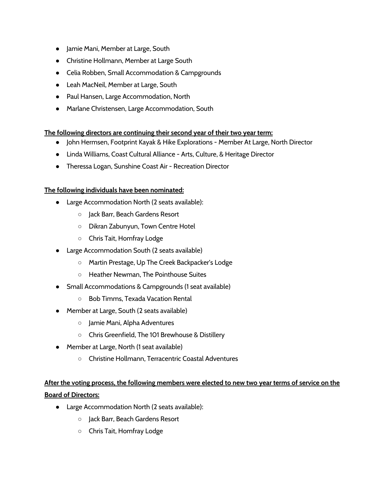- Jamie Mani, Member at Large, South
- Christine Hollmann, Member at Large South
- Celia Robben, Small Accommodation & Campgrounds
- Leah MacNeil, Member at Large, South
- Paul Hansen, Large Accommodation, North
- Marlane Christensen, Large Accommodation, South

### **The following directors are continuing their second year of their two year term:**

- John Hermsen, Footprint Kayak & Hike Explorations Member At Large, North Director
- Linda Williams, Coast Cultural Alliance Arts, Culture, & Heritage Director
- Theressa Logan, Sunshine Coast Air Recreation Director

### **The following individuals have been nominated:**

- Large Accommodation North (2 seats available):
	- Jack Barr, Beach Gardens Resort
	- Dikran Zabunyun, Town Centre Hotel
	- Chris Tait, Homfray Lodge
- Large Accommodation South (2 seats available)
	- Martin Prestage, Up The Creek Backpacker's Lodge
	- Heather Newman, The Pointhouse Suites
- Small Accommodations & Campgrounds (1 seat available)
	- Bob Timms, Texada Vacation Rental
- Member at Large, South (2 seats available)
	- Jamie Mani, Alpha Adventures
	- Chris Greenfield, The 101 Brewhouse & Distillery
- Member at Large, North (1 seat available)
	- Christine Hollmann, Terracentric Coastal Adventures

# After the voting process, the following members were elected to new two year terms of service on the **Board of Directors:**

- Large Accommodation North (2 seats available):
	- Jack Barr, Beach Gardens Resort
	- Chris Tait, Homfray Lodge